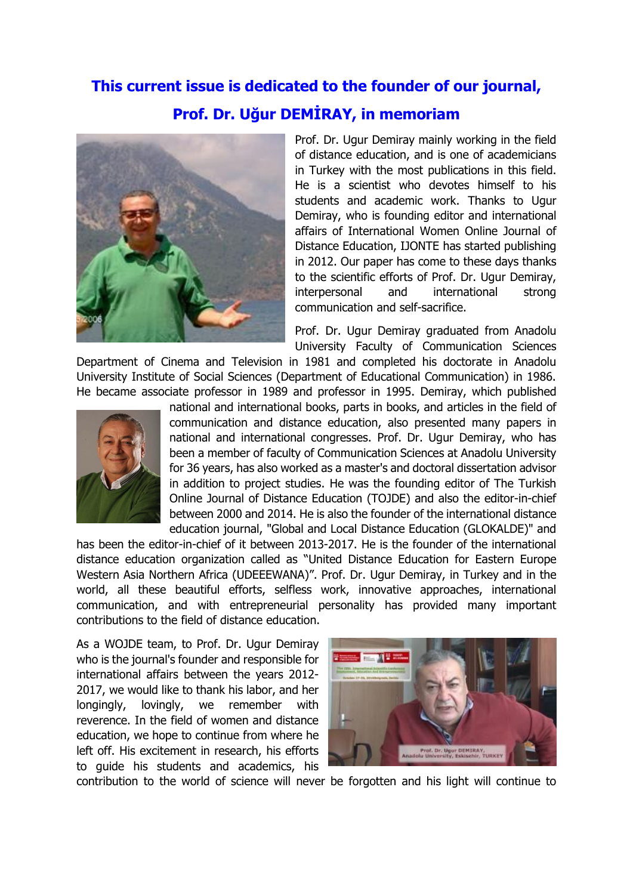## **This current issue is dedicated to the founder of our journal, Prof. Dr. Uğur DEMİRAY, in memoriam**



Prof. Dr. Ugur Demiray mainly working in the field of distance education, and is one of academicians in Turkey with the most publications in this field. He is a scientist who devotes himself to his students and academic work. Thanks to Ugur Demiray, who is founding editor and international affairs of International Women Online Journal of Distance Education, IJONTE has started publishing in 2012. Our paper has come to these days thanks to the scientific efforts of Prof. Dr. Ugur Demiray, interpersonal and international strong communication and self-sacrifice.

Prof. Dr. Ugur Demiray graduated from Anadolu University Faculty of Communication Sciences

Department of Cinema and Television in 1981 and completed his doctorate in Anadolu University Institute of Social Sciences (Department of Educational Communication) in 1986. He became associate professor in 1989 and professor in 1995. Demiray, which published



national and international books, parts in books, and articles in the field of communication and distance education, also presented many papers in national and international congresses. Prof. Dr. Ugur Demiray, who has been a member of faculty of Communication Sciences at Anadolu University for 36 years, has also worked as a master's and doctoral dissertation advisor in addition to project studies. He was the founding editor of The Turkish Online Journal of Distance Education (TOJDE) and also the editor-in-chief between 2000 and 2014. He is also the founder of the international distance education journal, "Global and Local Distance Education (GLOKALDE)" and

has been the editor-in-chief of it between 2013-2017. He is the founder of the international distance education organization called as "United Distance Education for Eastern Europe Western Asia Northern Africa (UDEEEWANA)". Prof. Dr. Ugur Demiray, in Turkey and in the world, all these beautiful efforts, selfless work, innovative approaches, international communication, and with entrepreneurial personality has provided many important contributions to the field of distance education.

As a WOJDE team, to Prof. Dr. Ugur Demiray who is the journal's founder and responsible for international affairs between the years 2012- 2017, we would like to thank his labor, and her longingly, lovingly, we remember with reverence. In the field of women and distance education, we hope to continue from where he left off. His excitement in research, his efforts to guide his students and academics, his



contribution to the world of science will never be forgotten and his light will continue to